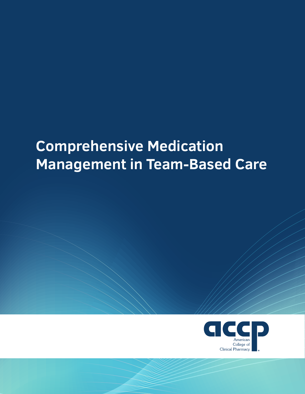# **Comprehensive Medication Management in Team-Based Care**

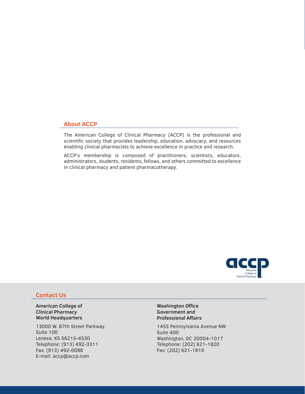## **About ACCP**

The American College of Clinical Pharmacy (ACCP) is the professional and scientific society that provides leadership, education, advocacy, and resources enabling clinical pharmacists to achieve excellence in practice and research.

ACCP's membership is composed of practitioners, scientists, educators, administrators, students, residents, fellows, and others committed to excellence in clinical pharmacy and patient pharmacotherapy.



## **Contact Us**

**American College of Clinical Pharmacy World Headquarters**

13000 W. 87th Street Parkway Suite 100 Lenexa, KS 66215-4530 Telephone: (913) 492-3311 Fax: (913) 492-0088 E-mail: accp@accp.com

**Washington Office Government and Professional Affairs**

1455 Pennsylvania Avenue NW Suite 400 Washington, DC 20004-1017 Telephone: (202) 621-1820 Fax: (202) 621-1819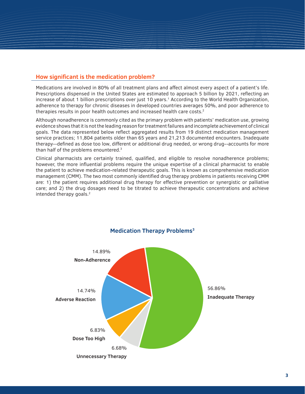# **How significant is the medication problem?**

Medications are involved in 80% of all treatment plans and affect almost every aspect of a patient's life. Prescriptions dispensed in the United States are estimated to approach 5 billion by 2021, reflecting an increase of about 1 billion prescriptions over just 10 years.<sup>1</sup> According to the World Health Organization, adherence to therapy for chronic diseases in developed countries averages 50%, and poor adherence to therapies results in poor health outcomes and increased health care costs.<sup>2</sup>

Although nonadherence is commonly cited as the primary problem with patients' medication use, growing evidence shows that it is not the leading reason for treatment failures and incomplete achievement of clinical goals. The data represented below reflect aggregated results from 19 distinct medication management service practices; 11,804 patients older than 65 years and 21,213 documented encounters. Inadequate therapy--defined as dose too low, different or additional drug needed, or wrong drug--accounts for more than half of the problems enountered.<sup>3</sup>

Clinical pharmacists are certainly trained, qualified, and eligible to resolve nonadherence problems; however, the more influential problems require the unique expertise of a clinical pharmacist to enable the patient to achieve medication-related therapeutic goals. This is known as comprehensive medication management (CMM). The two most commonly identified drug therapy problems in patients receiving CMM are: 1) the patient requires additional drug therapy for effective prevention or synergistic or palliative care; and 2) the drug dosages need to be titrated to achieve therapeutic concentrations and achieve intended therapy goals.<sup>2</sup>

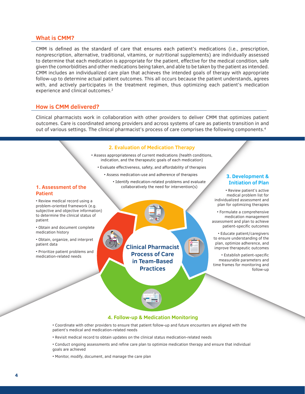#### **What is CMM?**

CMM is defined as the standard of care that ensures each patient's medications (i.e., prescription, nonprescription, alternative, traditional, vitamins, or nutritional supplements) are individually assessed to determine that each medication is appropriate for the patient, effective for the medical condition, safe given the comorbidities and other medications being taken, and able to be taken by the patient as intended. CMM includes an individualized care plan that achieves the intended goals of therapy with appropriate follow-up to determine actual patient outcomes. This all occurs because the patient understands, agrees with, and actively participates in the treatment regimen, thus optimizing each patient's medication experience and clinical outcomes.<sup>2</sup>

#### **How is CMM delivered?**

Clinical pharmacists work in collaboration with other providers to deliver CMM that optimizes patient outcomes. Care is coordinated among providers and across systems of care as patients transition in and out of various settings. The clinical pharmacist's process of care comprises the following components.4

#### **2. Evaluation of Medication Therapy**

• Assess appropriateness of current medications (health conditions, indication, and the therapeutic goals of each medication)

- Evaluate effectiveness, safety, and affordability of therapies
	- Assess medication-use and adherence of therapies
		- Identify medication-related problems and evaluate collaboratively the need for intervention(s)

#### **1. Assessment of the Patient**

• Review medical record using a problem-oriented framework (e.g. subjective and objective information) to determine the clinical status of patient

• Obtain and document complete medication history

• Obtain, organize, and interpret patient data

• Prioritize patient problems and medication-related needs

**Clinical Pharmacist Process of Care in Team-Based Practices**

#### **3. Development & Initiation of Plan**

• Review patient's active medical problem list for individualized assessment and plan for optimizing therapies

• Formulate a comprehensive medication management assessment and plan to achieve patient-specific outcomes

• Educate patient/caregivers to ensure understanding of the plan, optimize adherence, and improve therapeutic outcomes

• Establish patient-specific measurable parameters and time frames for monitoring and follow-up

#### **4. Follow-up & Medication Monitoring**

• Coordinate with other providers to ensure that patient follow-up and future encounters are aligned with the patient's medical and medication-related needs

- Revisit medical record to obtain updates on the clinical status medication-related needs
- Conduct ongoing assessments and refine care plan to optimize medication therapy and ensure that individual goals are achieved
- Monitor, modify, document, and manage the care plan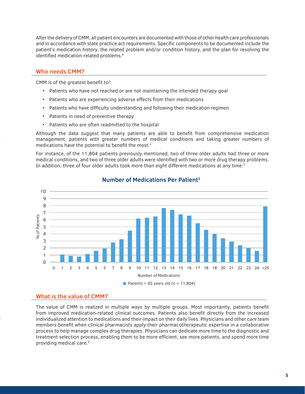After the delivery of CMM, all patient encounters are documented with those of other health care professionals and in accordance with state practice act requirements. Specific components to be documented include the patient's medication history, the related problem and/or condition history, and the plan for resolving the identified medication-related problems.4

## **Who needs CMM?**

CMM is of the greatest benefit to<sup>2</sup>:

- Patients who have not reached or are not maintaining the intended therapy goal
- Patients who are experiencing adverse effects from their medications
- Patients who have difficulty understanding and following their medication regimen
- Patients in need of preventive therapy
- Patients who are often readmitted to the hospital

Although the data suggest that many patients are able to benefit from comprehensive medication management, patients with greater numbers of medical conditions and taking greater numbers of medications have the potential to benefit the most.<sup>2</sup>

For instance, of the 11,804 patients previously mentioned, two of three older adults had three or more medical conditions, and two of three older adults were identified with two or more drug therapy problems. In addition, three of four older adults took more than eight different medications at any time.<sup>3</sup>



# **Number of Medications Per Patient3**

## **What is the value of CMM?**

The value of CMM is realized in multiple ways by multiple groups. Most importantly, patients benefit from improved medication-related clinical outcomes. Patients also benefit directly from the increased individualized attention to medications and their impact on their daily lives. Physicians and other care team members benefit when clinical pharmacists apply their pharmacotherapeutic expertise in a collaborative process to help manage complex drug therapies. Physicians can dedicate more time to the diagnostic and treatment selection process, enabling them to be more efficient, see more patients, and spend more time providing medical care.2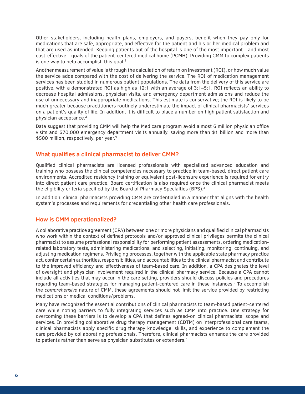Other stakeholders, including health plans, employers, and payers, benefit when they pay only for medications that are safe, appropriate, and effective for the patient and his or her medical problem and that are used as intended. Keeping patients out of the hospital is one of the most important—and most cost-effective—goals of the patient-centered medical home (PCMH). Providing CMM to complex patients is one way to help accomplish this goal.<sup>2</sup>

Another measurement of value is through the calculation of return on investment (ROI), or how much value the service adds compared with the cost of delivering the service. The ROI of medication management services has been studied in numerous patient populations. The data from the delivery of this service are positive, with a demonstrated ROI as high as 12:1 with an average of 3:1–5:1. ROI reflects an ability to decrease hospital admissions, physician visits, and emergency department admissions and reduce the use of unnecessary and inappropriate medications. This estimate is conservative; the ROI is likely to be much greater because practitioners routinely underestimate the impact of clinical pharmacists' services on a patient's quality of life. In addition, it is difficult to place a number on high patient satisfaction and physician acceptance.2

Data suggest that providing CMM will help the Medicare program avoid almost 6 million physician office visits and 670,000 emergency department visits annually, saving more than \$1 billion and more than \$500 million, respectively, per year.<sup>3</sup>

## **What qualifies a clinical pharmacist to deliver CMM?**

Qualified clinical pharmacists are licensed professionals with specialized advanced education and training who possess the clinical competencies necessary to practice in team-based, direct patient care environments. Accredited residency training or equivalent post-licensure experience is required for entry into direct patient care practice. Board certification is also required once the clinical pharmacist meets the eligibility criteria specified by the Board of Pharmacy Specialties (BPS).<sup>4</sup>

In addition, clinical pharmacists providing CMM are credentialed in a manner that aligns with the health system's processes and requirements for credentialing other health care professionals.

## **How is CMM operationalized?**

A collaborative practice agreement (CPA) between one or more physicians and qualified clinical pharmacists who work within the context of defined protocols and/or approved clinical privileges permits the clinical pharmacist to assume professional responsibility for performing patient assessments, ordering medicationrelated laboratory tests, administering medications, and selecting, initiating, monitoring, continuing, and adjusting medication regimens. Privileging processes, together with the applicable state pharmacy practice act, confer certain authorities, responsibilities, and accountabilities to the clinical pharmacist and contribute to the improved efficiency and effectiveness of team-based care. In addition, a CPA designates the level of oversight and physician involvement required in the clinical pharmacy service. Because a CPA cannot include all activities that may occur in the care setting, providers should discuss policies and procedures regarding team-based strategies for managing patient-centered care in these instances.<sup>5</sup> To accomplish the *comprehensive* nature of CMM, these agreements should not limit the service provided by restricting medications or medical conditions/problems.

Many have recognized the essential contributions of clinical pharmacists to team-based patient-centered care while noting barriers to fully integrating services such as CMM into practice. One strategy for overcoming these barriers is to develop a CPA that defines agreed-on clinical pharmacists' scope and services. In providing collaborative drug therapy management (CDTM) on interprofessional care teams, clinical pharmacists apply specific drug therapy knowledge, skills, and experience to complement the care provided by collaborating professionals. Therefore, clinical pharmacists enhance the care provided to patients rather than serve as physician substitutes or extenders.<sup>5</sup>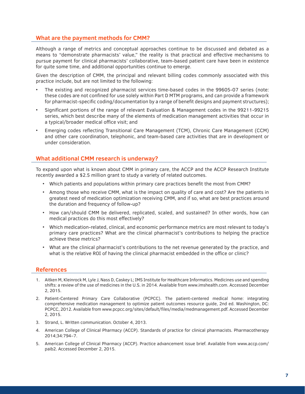# **What are the payment methods for CMM?**

Although a range of metrics and conceptual approaches continue to be discussed and debated as a means to "demonstrate pharmacists' value," the reality is that practical and effective mechanisms to pursue payment for clinical pharmacists' collaborative, team-based patient care have been in existence for quite some time, and additional opportunities continue to emerge.

Given the description of CMM, the principal and relevant billing codes commonly associated with this practice include, but are not limited to the following:

- The existing and recognized pharmacist services time-based codes in the 99605-07 series (note: these codes are not confined for use solely within Part D MTM programs, and can provide a framework for pharmacist-specific coding/documentation by a range of benefit designs and payment structures);
- Significant portions of the range of relevant Evaluation & Management codes in the 99211-99215 series, which best describe many of the elements of medication management activities that occur in a typical/broader medical office visit; and
- Emerging codes reflecting Transitional Care Management (TCM), Chronic Care Management (CCM) and other care coordination, telephonic, and team-based care activities that are in development or under consideration.

# **What additional CMM research is underway?**

To expand upon what is known about CMM in primary care, the ACCP and the ACCP Research Institute recently awarded a \$2.5 million grant to study a variety of related outcomes.

- Which patients and populations within primary care practices benefit the most from CMM?
- Among those who receive CMM, what is the impact on quality of care and cost? Are the patients in greatest need of medication optimization receiving CMM, and if so, what are best practices around the duration and frequency of follow-up?
- How can/should CMM be delivered, replicated, scaled, and sustained? In other words, how can medical practices do this most effectively?
- Which medication-related, clinical, and economic performance metrics are most relevant to today's primary care practices? What are the clinical pharmacist's contributions to helping the practice achieve these metrics?
- What are the clinical pharmacist's contributions to the net revenue generated by the practice, and what is the relative ROI of having the clinical pharmacist embedded in the office or clinic?

## **References**

- 1. Aitken M, Kleinrock M, Lyle J, Nass D, Caskey L; IMS Institute for Healthcare Informatics. Medicines use and spending shifts: a review of the use of medicines in the U.S. in 2014. Available from [www.imshealth.com](http://www.imshealth.com). Accessed December 2, 2015.
- 2. Patient-Centered Primary Care Collaborative (PCPCC). The patient-centered medical home: integrating comprehensive medication management to optimize patient outcomes resource guide, 2nd ed. Washington, DC: PCPCC, 2012. Available from [www.pcpcc.org/sites/default/files/media/medmanagement.pdf](http://www.pcpcc.org/sites/default/files/media/medmanagement.pdf). Accessed December 2, 2015.
- 3. Strand, L. Written communication. October 4, 2013.
- 4. American College of Clinical Pharmacy (ACCP). Standards of practice for clinical pharmacists. Pharmacotherapy 2014;34:794–7.
- 5. American College of Clinical Pharmacy (ACCP). Practice advancement issue brief. Available from [www.accp.com/](http://www.accp.com/paib2) [paib2](http://www.accp.com/paib2). Accessed December 2, 2015.